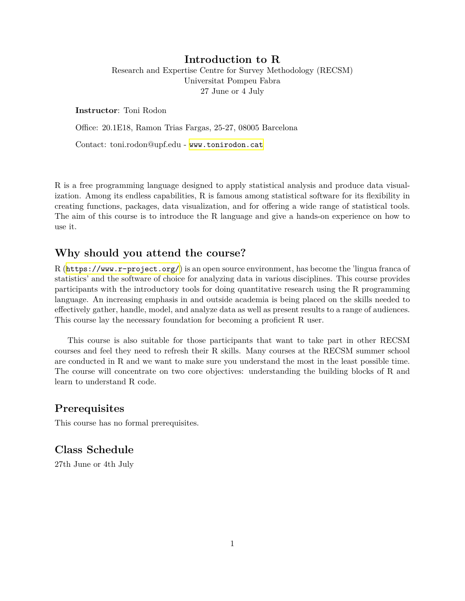#### **Introduction to R**

Research and Expertise Centre for Survey Methodology (RECSM) Universitat Pompeu Fabra 27 June or 4 July

**Instructor**: Toni Rodon

Office: 20.1E18, Ramon Trias Fargas, 25-27, 08005 Barcelona

Contact: toni.rodon@upf.edu - <www.tonirodon.cat>

R is a free programming language designed to apply statistical analysis and produce data visualization. Among its endless capabilities, R is famous among statistical software for its flexibility in creating functions, packages, data visualization, and for offering a wide range of statistical tools. The aim of this course is to introduce the R language and give a hands-on experience on how to use it.

# **Why should you attend the course?**

R (<https://www.r-project.org/>) is an open source environment, has become the 'lingua franca of statistics' and the software of choice for analyzing data in various disciplines. This course provides participants with the introductory tools for doing quantitative research using the R programming language. An increasing emphasis in and outside academia is being placed on the skills needed to effectively gather, handle, model, and analyze data as well as present results to a range of audiences. This course lay the necessary foundation for becoming a proficient R user.

This course is also suitable for those participants that want to take part in other RECSM courses and feel they need to refresh their R skills. Many courses at the RECSM summer school are conducted in R and we want to make sure you understand the most in the least possible time. The course will concentrate on two core objectives: understanding the building blocks of R and learn to understand R code.

## **Prerequisites**

This course has no formal prerequisites.

## **Class Schedule**

27th June or 4th July